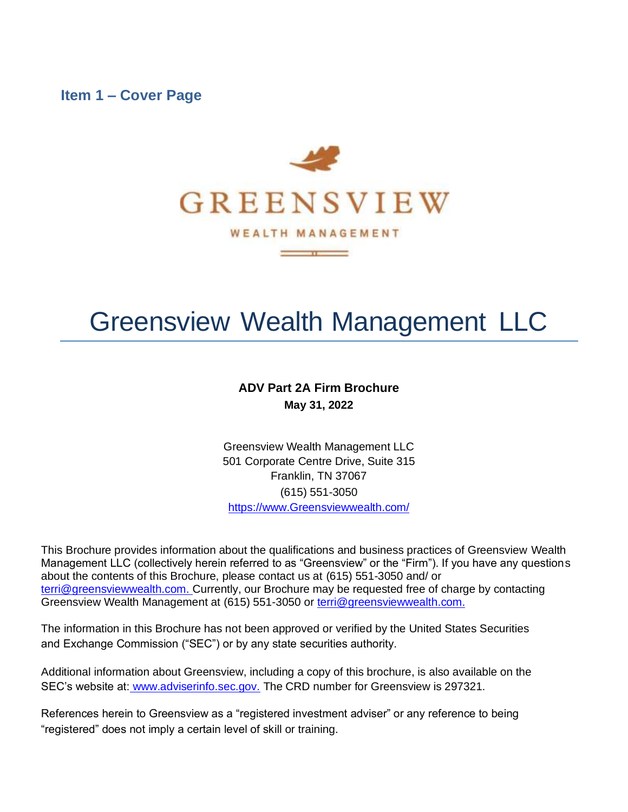<span id="page-0-0"></span>**Item 1 – Cover Page**



 $\sim$   $\sim$   $\sim$   $\sim$ 

# Greensview Wealth Management LLC

### **ADV Part 2A Firm Brochure May 31, 2022**

Greensview Wealth Management LLC 501 Corporate Centre Drive, Suite 315 Franklin, TN 37067 (615) 551-3050 https:/[/www.Greensviewwealth.com/](http://www.greensviewwealth.com/)

This Brochure provides information about the qualifications and business practices of Greensview Wealth Management LLC (collectively herein referred to as "Greensview" or the "Firm"). If you have any questions about the contents of this Brochure, please contact us at (615) 551-3050 and/ or [terri@greensviewwealth.com. C](mailto:terri@greensviewwealth.com.)urrently, our Brochure may be requested free of charge by contacting Greensview Wealth Management at (615) 551-3050 or [terri@greensviewwealth.com.](mailto:cpayne@graydoncs.com)

The information in this Brochure has not been approved or verified by the United States Securities and Exchange Commission ("SEC") or by any state securities authority.

Additional information about Greensview, including a copy of this brochure, is also available on the SEC's website at: [www.adviserinfo.sec.gov.](http://www.adviserinfo.sec.gov/) The CRD number for Greensview is 297321.

References herein to Greensview as a "registered investment adviser" or any reference to being "registered" does not imply a certain level of skill or training.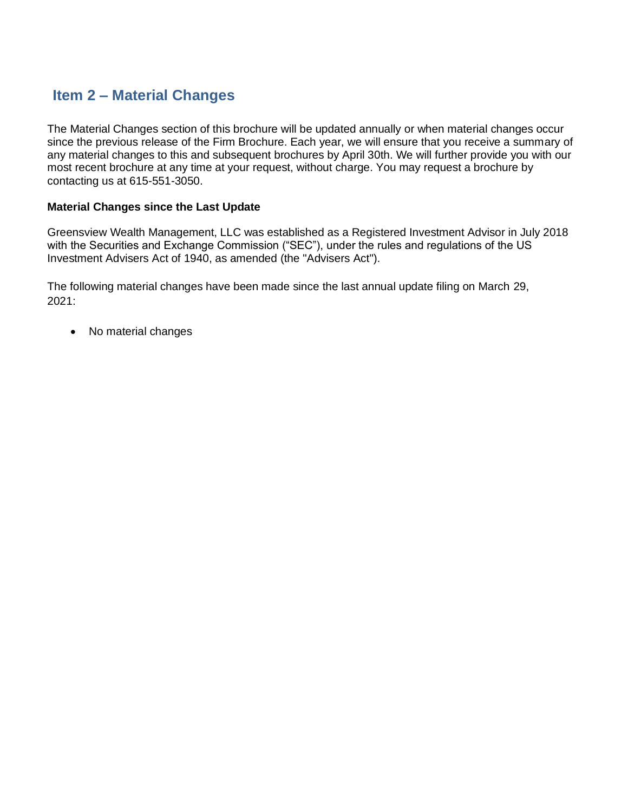# <span id="page-1-0"></span>**Item 2 – Material Changes**

The Material Changes section of this brochure will be updated annually or when material changes occur since the previous release of the Firm Brochure. Each year, we will ensure that you receive a summary of any material changes to this and subsequent brochures by April 30th. We will further provide you with our most recent brochure at any time at your request, without charge. You may request a brochure by contacting us at 615-551-3050.

### **Material Changes since the Last Update**

Greensview Wealth Management, LLC was established as a Registered Investment Advisor in July 2018 with the Securities and Exchange Commission ("SEC"), under the rules and regulations of the US Investment Advisers Act of 1940, as amended (the "Advisers Act").

The following material changes have been made since the last annual update filing on March 29, 2021:

• No material changes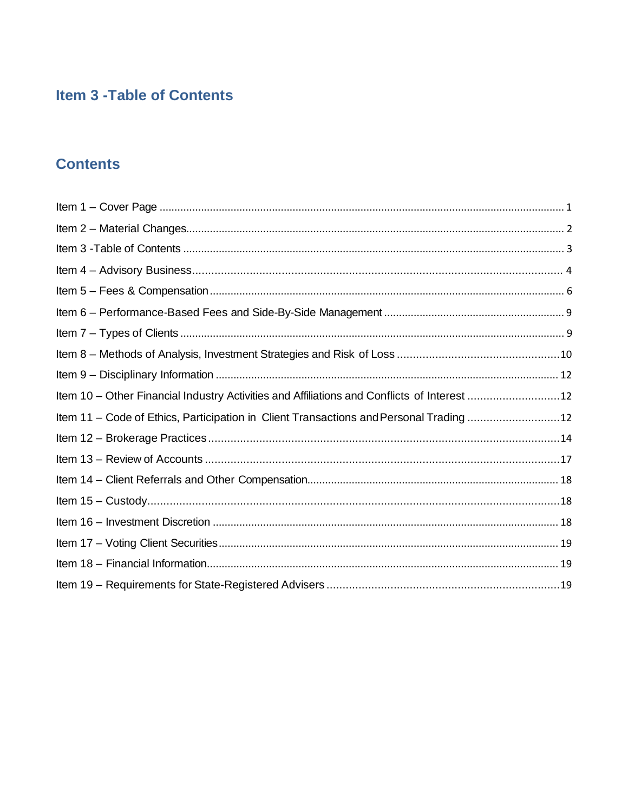# <span id="page-2-0"></span>**Item 3 - Table of Contents**

# **Contents**

| Item 10 - Other Financial Industry Activities and Affiliations and Conflicts of Interest 12 |  |
|---------------------------------------------------------------------------------------------|--|
| Item 11 - Code of Ethics, Participation in Client Transactions and Personal Trading12       |  |
|                                                                                             |  |
|                                                                                             |  |
|                                                                                             |  |
|                                                                                             |  |
|                                                                                             |  |
|                                                                                             |  |
|                                                                                             |  |
|                                                                                             |  |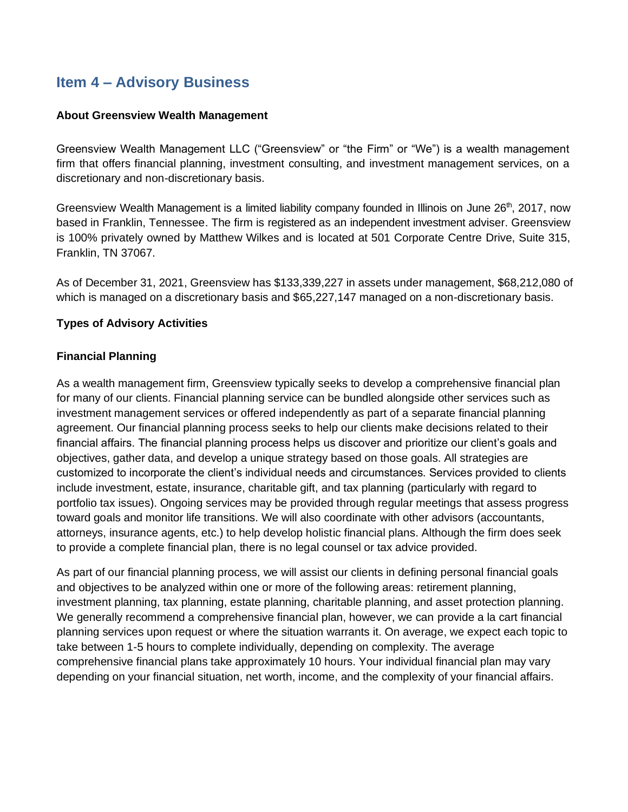# <span id="page-3-0"></span>**Item 4 – Advisory Business**

### **About Greensview Wealth Management**

Greensview Wealth Management LLC ("Greensview" or "the Firm" or "We") is a wealth management firm that offers financial planning, investment consulting, and investment management services, on a discretionary and non-discretionary basis.

Greensview Wealth Management is a limited liability company founded in Illinois on June 26<sup>th</sup>, 2017, now based in Franklin, Tennessee. The firm is registered as an independent investment adviser. Greensview is 100% privately owned by Matthew Wilkes and is located at 501 Corporate Centre Drive, Suite 315, Franklin, TN 37067.

As of December 31, 2021, Greensview has \$133,339,227 in assets under management, \$68,212,080 of which is managed on a discretionary basis and \$65,227,147 managed on a non-discretionary basis.

### **Types of Advisory Activities**

### **Financial Planning**

As a wealth management firm, Greensview typically seeks to develop a comprehensive financial plan for many of our clients. Financial planning service can be bundled alongside other services such as investment management services or offered independently as part of a separate financial planning agreement. Our financial planning process seeks to help our clients make decisions related to their financial affairs. The financial planning process helps us discover and prioritize our client's goals and objectives, gather data, and develop a unique strategy based on those goals. All strategies are customized to incorporate the client's individual needs and circumstances. Services provided to clients include investment, estate, insurance, charitable gift, and tax planning (particularly with regard to portfolio tax issues). Ongoing services may be provided through regular meetings that assess progress toward goals and monitor life transitions. We will also coordinate with other advisors (accountants, attorneys, insurance agents, etc.) to help develop holistic financial plans. Although the firm does seek to provide a complete financial plan, there is no legal counsel or tax advice provided.

As part of our financial planning process, we will assist our clients in defining personal financial goals and objectives to be analyzed within one or more of the following areas: retirement planning, investment planning, tax planning, estate planning, charitable planning, and asset protection planning. We generally recommend a comprehensive financial plan, however, we can provide a la cart financial planning services upon request or where the situation warrants it. On average, we expect each topic to take between 1-5 hours to complete individually, depending on complexity. The average comprehensive financial plans take approximately 10 hours. Your individual financial plan may vary depending on your financial situation, net worth, income, and the complexity of your financial affairs.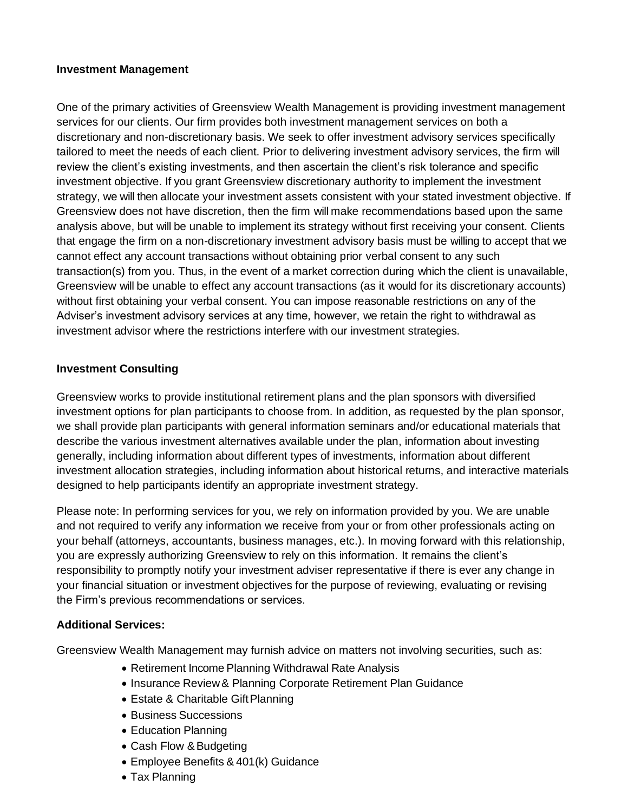### **Investment Management**

One of the primary activities of Greensview Wealth Management is providing investment management services for our clients. Our firm provides both investment management services on both a discretionary and non-discretionary basis. We seek to offer investment advisory services specifically tailored to meet the needs of each client. Prior to delivering investment advisory services, the firm will review the client's existing investments, and then ascertain the client's risk tolerance and specific investment objective. If you grant Greensview discretionary authority to implement the investment strategy, we will then allocate your investment assets consistent with your stated investment objective. If Greensview does not have discretion, then the firm will make recommendations based upon the same analysis above, but will be unable to implement its strategy without first receiving your consent. Clients that engage the firm on a non-discretionary investment advisory basis must be willing to accept that we cannot effect any account transactions without obtaining prior verbal consent to any such transaction(s) from you. Thus, in the event of a market correction during which the client is unavailable, Greensview will be unable to effect any account transactions (as it would for its discretionary accounts) without first obtaining your verbal consent. You can impose reasonable restrictions on any of the Adviser's investment advisory services at any time, however, we retain the right to withdrawal as investment advisor where the restrictions interfere with our investment strategies.

### **Investment Consulting**

Greensview works to provide institutional retirement plans and the plan sponsors with diversified investment options for plan participants to choose from. In addition, as requested by the plan sponsor, we shall provide plan participants with general information seminars and/or educational materials that describe the various investment alternatives available under the plan, information about investing generally, including information about different types of investments, information about different investment allocation strategies, including information about historical returns, and interactive materials designed to help participants identify an appropriate investment strategy.

Please note: In performing services for you, we rely on information provided by you. We are unable and not required to verify any information we receive from your or from other professionals acting on your behalf (attorneys, accountants, business manages, etc.). In moving forward with this relationship, you are expressly authorizing Greensview to rely on this information. It remains the client's responsibility to promptly notify your investment adviser representative if there is ever any change in your financial situation or investment objectives for the purpose of reviewing, evaluating or revising the Firm's previous recommendations or services.

### **Additional Services:**

Greensview Wealth Management may furnish advice on matters not involving securities, such as:

- Retirement Income Planning Withdrawal Rate Analysis
- Insurance Review& Planning Corporate Retirement Plan Guidance
- Estate & Charitable Gift Planning
- Business Successions
- Education Planning
- Cash Flow & Budgeting
- Employee Benefits & 401(k) Guidance
- Tax Planning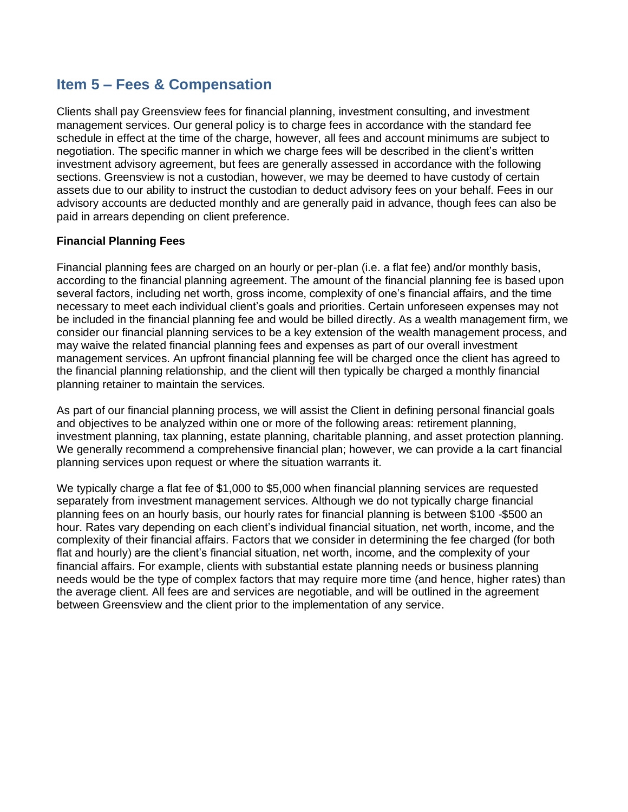# <span id="page-5-0"></span>**Item 5 – Fees & Compensation**

Clients shall pay Greensview fees for financial planning, investment consulting, and investment management services. Our general policy is to charge fees in accordance with the standard fee schedule in effect at the time of the charge, however, all fees and account minimums are subject to negotiation. The specific manner in which we charge fees will be described in the client's written investment advisory agreement, but fees are generally assessed in accordance with the following sections. Greensview is not a custodian, however, we may be deemed to have custody of certain assets due to our ability to instruct the custodian to deduct advisory fees on your behalf. Fees in our advisory accounts are deducted monthly and are generally paid in advance, though fees can also be paid in arrears depending on client preference.

### **Financial Planning Fees**

Financial planning fees are charged on an hourly or per-plan (i.e. a flat fee) and/or monthly basis, according to the financial planning agreement. The amount of the financial planning fee is based upon several factors, including net worth, gross income, complexity of one's financial affairs, and the time necessary to meet each individual client's goals and priorities. Certain unforeseen expenses may not be included in the financial planning fee and would be billed directly. As a wealth management firm, we consider our financial planning services to be a key extension of the wealth management process, and may waive the related financial planning fees and expenses as part of our overall investment management services. An upfront financial planning fee will be charged once the client has agreed to the financial planning relationship, and the client will then typically be charged a monthly financial planning retainer to maintain the services.

As part of our financial planning process, we will assist the Client in defining personal financial goals and objectives to be analyzed within one or more of the following areas: retirement planning, investment planning, tax planning, estate planning, charitable planning, and asset protection planning. We generally recommend a comprehensive financial plan; however, we can provide a la cart financial planning services upon request or where the situation warrants it.

We typically charge a flat fee of \$1,000 to \$5,000 when financial planning services are requested separately from investment management services. Although we do not typically charge financial planning fees on an hourly basis, our hourly rates for financial planning is between \$100 -\$500 an hour. Rates vary depending on each client's individual financial situation, net worth, income, and the complexity of their financial affairs. Factors that we consider in determining the fee charged (for both flat and hourly) are the client's financial situation, net worth, income, and the complexity of your financial affairs. For example, clients with substantial estate planning needs or business planning needs would be the type of complex factors that may require more time (and hence, higher rates) than the average client. All fees are and services are negotiable, and will be outlined in the agreement between Greensview and the client prior to the implementation of any service.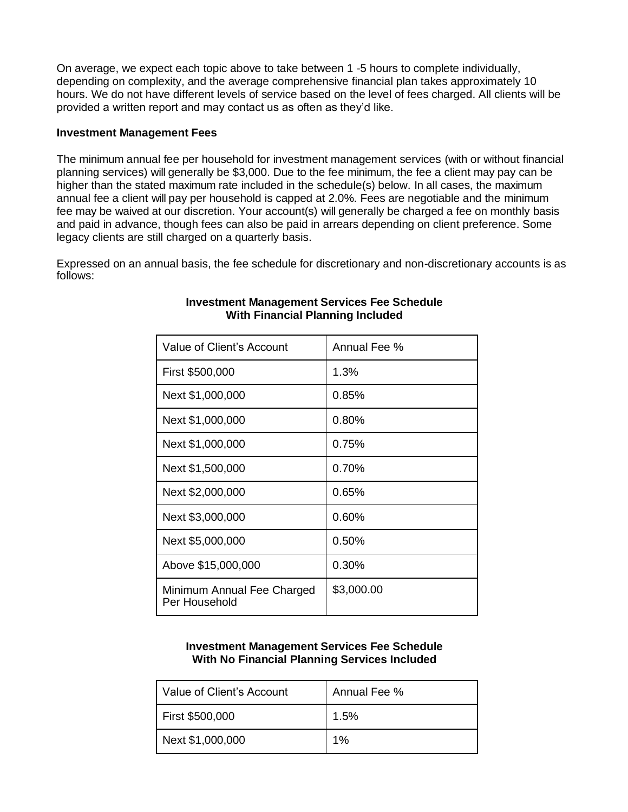On average, we expect each topic above to take between 1 -5 hours to complete individually, depending on complexity, and the average comprehensive financial plan takes approximately 10 hours. We do not have different levels of service based on the level of fees charged. All clients will be provided a written report and may contact us as often as they'd like.

### **Investment Management Fees**

The minimum annual fee per household for investment management services (with or without financial planning services) will generally be \$3,000. Due to the fee minimum, the fee a client may pay can be higher than the stated maximum rate included in the schedule(s) below. In all cases, the maximum annual fee a client will pay per household is capped at 2.0%. Fees are negotiable and the minimum fee may be waived at our discretion. Your account(s) will generally be charged a fee on monthly basis and paid in advance, though fees can also be paid in arrears depending on client preference. Some legacy clients are still charged on a quarterly basis.

Expressed on an annual basis, the fee schedule for discretionary and non-discretionary accounts is as follows:

| Value of Client's Account                   | Annual Fee % |
|---------------------------------------------|--------------|
| First \$500,000                             | 1.3%         |
| Next \$1,000,000                            | 0.85%        |
| Next \$1,000,000                            | 0.80%        |
| Next \$1,000,000                            | 0.75%        |
| Next \$1,500,000                            | 0.70%        |
| Next \$2,000,000                            | 0.65%        |
| Next \$3,000,000                            | 0.60%        |
| Next \$5,000,000                            | 0.50%        |
| Above \$15,000,000                          | 0.30%        |
| Minimum Annual Fee Charged<br>Per Household | \$3,000.00   |

### **Investment Management Services Fee Schedule With Financial Planning Included**

### **Investment Management Services Fee Schedule With No Financial Planning Services Included**

| Value of Client's Account | Annual Fee % |
|---------------------------|--------------|
| First \$500,000           | 1.5%         |
| Next \$1,000,000          | $1\%$        |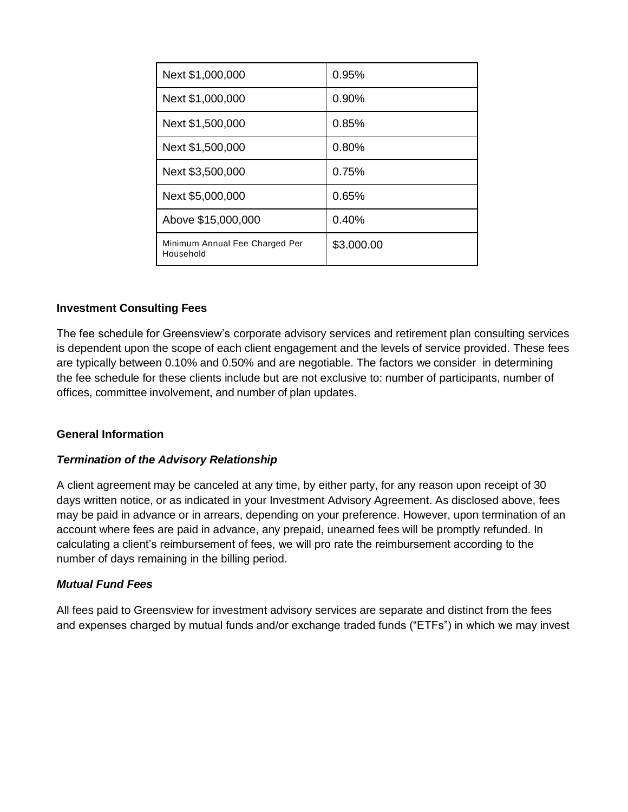| Next \$1,000,000                            | 0.95%      |
|---------------------------------------------|------------|
| Next \$1,000,000                            | $0.90\%$   |
| Next \$1,500,000                            | 0.85%      |
| Next \$1,500,000                            | 0.80%      |
| Next \$3,500,000                            | 0.75%      |
| Next \$5,000,000                            | 0.65%      |
| Above \$15,000,000                          | 0.40%      |
| Minimum Annual Fee Charged Per<br>Household | \$3.000.00 |

### **Investment Consulting Fees**

The fee schedule for Greensview's corporate advisory services and retirement plan consulting services is dependent upon the scope of each client engagement and the levels of service provided. These fees are typically between 0.10% and 0.50% and are negotiable. The factors we consider in determining the fee schedule for these clients include but are not exclusive to: number of participants, number of offices, committee involvement, and number of plan updates.

### **General Information**

### *Termination of the Advisory Relationship*

A client agreement may be canceled at any time, by either party, for any reason upon receipt of 30 days written notice, or as indicated in your Investment Advisory Agreement. As disclosed above, fees may be paid in advance or in arrears, depending on your preference. However, upon termination of an account where fees are paid in advance, any prepaid, unearned fees will be promptly refunded. In calculating a client's reimbursement of fees, we will pro rate the reimbursement according to the number of days remaining in the billing period.

#### *Mutual Fund Fees*

All fees paid to Greensview for investment advisory services are separate and distinct from the fees and expenses charged by mutual funds and/or exchange traded funds ("ETFs") in which we may invest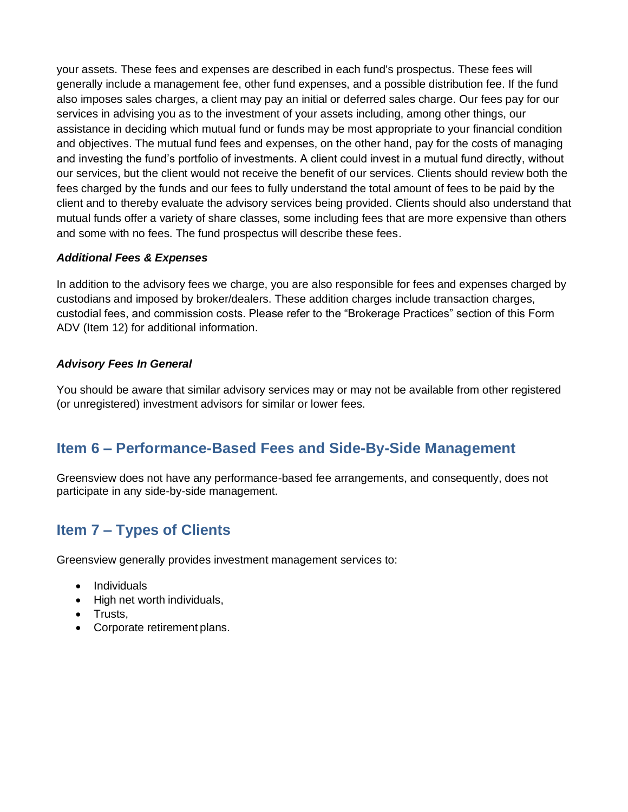your assets. These fees and expenses are described in each fund's prospectus. These fees will generally include a management fee, other fund expenses, and a possible distribution fee. If the fund also imposes sales charges, a client may pay an initial or deferred sales charge. Our fees pay for our services in advising you as to the investment of your assets including, among other things, our assistance in deciding which mutual fund or funds may be most appropriate to your financial condition and objectives. The mutual fund fees and expenses, on the other hand, pay for the costs of managing and investing the fund's portfolio of investments. A client could invest in a mutual fund directly, without our services, but the client would not receive the benefit of our services. Clients should review both the fees charged by the funds and our fees to fully understand the total amount of fees to be paid by the client and to thereby evaluate the advisory services being provided. Clients should also understand that mutual funds offer a variety of share classes, some including fees that are more expensive than others and some with no fees. The fund prospectus will describe these fees.

### *Additional Fees & Expenses*

In addition to the advisory fees we charge, you are also responsible for fees and expenses charged by custodians and imposed by broker/dealers. These addition charges include transaction charges, custodial fees, and commission costs. Please refer to the "Brokerage Practices" section of this Form ADV (Item 12) for additional information.

### *Advisory Fees In General*

You should be aware that similar advisory services may or may not be available from other registered (or unregistered) investment advisors for similar or lower fees.

# <span id="page-8-0"></span>**Item 6 – Performance-Based Fees and Side-By-Side Management**

Greensview does not have any performance-based fee arrangements, and consequently, does not participate in any side-by-side management.

# <span id="page-8-1"></span>**Item 7 – Types of Clients**

Greensview generally provides investment management services to:

- Individuals
- High net worth individuals,
- Trusts,
- Corporate retirement plans.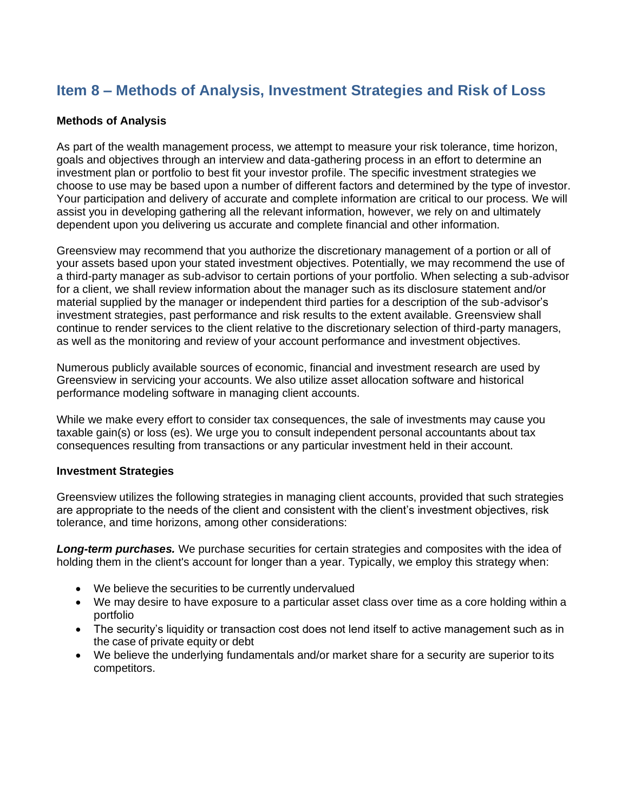# <span id="page-9-0"></span>**Item 8 – Methods of Analysis, Investment Strategies and Risk of Loss**

### **Methods of Analysis**

As part of the wealth management process, we attempt to measure your risk tolerance, time horizon, goals and objectives through an interview and data-gathering process in an effort to determine an investment plan or portfolio to best fit your investor profile. The specific investment strategies we choose to use may be based upon a number of different factors and determined by the type of investor. Your participation and delivery of accurate and complete information are critical to our process. We will assist you in developing gathering all the relevant information, however, we rely on and ultimately dependent upon you delivering us accurate and complete financial and other information.

Greensview may recommend that you authorize the discretionary management of a portion or all of your assets based upon your stated investment objectives. Potentially, we may recommend the use of a third-party manager as sub-advisor to certain portions of your portfolio. When selecting a sub-advisor for a client, we shall review information about the manager such as its disclosure statement and/or material supplied by the manager or independent third parties for a description of the sub-advisor's investment strategies, past performance and risk results to the extent available. Greensview shall continue to render services to the client relative to the discretionary selection of third-party managers, as well as the monitoring and review of your account performance and investment objectives.

Numerous publicly available sources of economic, financial and investment research are used by Greensview in servicing your accounts. We also utilize asset allocation software and historical performance modeling software in managing client accounts.

While we make every effort to consider tax consequences, the sale of investments may cause you taxable gain(s) or loss (es). We urge you to consult independent personal accountants about tax consequences resulting from transactions or any particular investment held in their account.

#### **Investment Strategies**

Greensview utilizes the following strategies in managing client accounts, provided that such strategies are appropriate to the needs of the client and consistent with the client's investment objectives, risk tolerance, and time horizons, among other considerations:

*Long-term purchases.* We purchase securities for certain strategies and composites with the idea of holding them in the client's account for longer than a year. Typically, we employ this strategy when:

- We believe the securities to be currently undervalued
- We may desire to have exposure to a particular asset class over time as a core holding within a portfolio
- The security's liquidity or transaction cost does not lend itself to active management such as in the case of private equity or debt
- We believe the underlying fundamentals and/or market share for a security are superior to its competitors.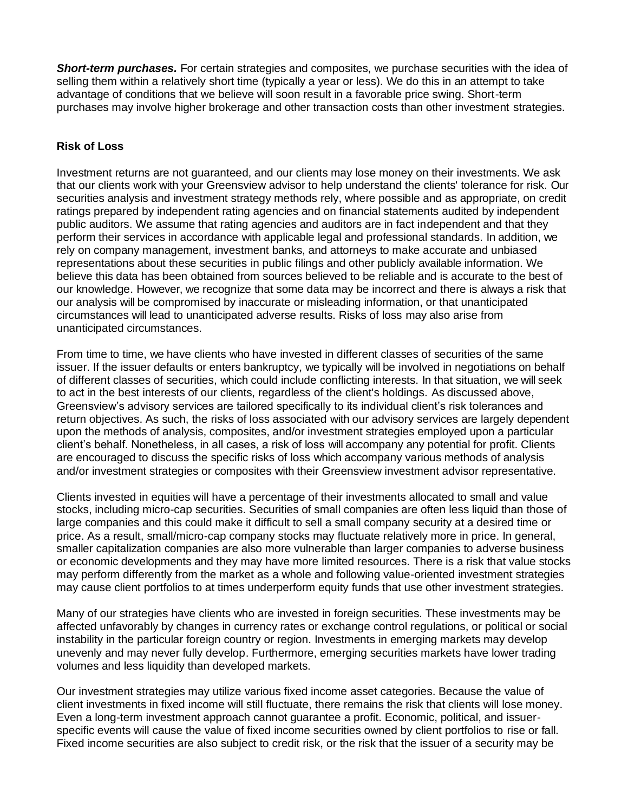*Short-term purchases.* For certain strategies and composites, we purchase securities with the idea of selling them within a relatively short time (typically a year or less). We do this in an attempt to take advantage of conditions that we believe will soon result in a favorable price swing. Short-term purchases may involve higher brokerage and other transaction costs than other investment strategies.

### **Risk of Loss**

Investment returns are not guaranteed, and our clients may lose money on their investments. We ask that our clients work with your Greensview advisor to help understand the clients' tolerance for risk. Our securities analysis and investment strategy methods rely, where possible and as appropriate, on credit ratings prepared by independent rating agencies and on financial statements audited by independent public auditors. We assume that rating agencies and auditors are in fact independent and that they perform their services in accordance with applicable legal and professional standards. In addition, we rely on company management, investment banks, and attorneys to make accurate and unbiased representations about these securities in public filings and other publicly available information. We believe this data has been obtained from sources believed to be reliable and is accurate to the best of our knowledge. However, we recognize that some data may be incorrect and there is always a risk that our analysis will be compromised by inaccurate or misleading information, or that unanticipated circumstances will lead to unanticipated adverse results. Risks of loss may also arise from unanticipated circumstances.

From time to time, we have clients who have invested in different classes of securities of the same issuer. If the issuer defaults or enters bankruptcy, we typically will be involved in negotiations on behalf of different classes of securities, which could include conflicting interests. In that situation, we will seek to act in the best interests of our clients, regardless of the client's holdings. As discussed above, Greensview's advisory services are tailored specifically to its individual client's risk tolerances and return objectives. As such, the risks of loss associated with our advisory services are largely dependent upon the methods of analysis, composites, and/or investment strategies employed upon a particular client's behalf. Nonetheless, in all cases, a risk of loss will accompany any potential for profit. Clients are encouraged to discuss the specific risks of loss which accompany various methods of analysis and/or investment strategies or composites with their Greensview investment advisor representative.

Clients invested in equities will have a percentage of their investments allocated to small and value stocks, including micro-cap securities. Securities of small companies are often less liquid than those of large companies and this could make it difficult to sell a small company security at a desired time or price. As a result, small/micro-cap company stocks may fluctuate relatively more in price. In general, smaller capitalization companies are also more vulnerable than larger companies to adverse business or economic developments and they may have more limited resources. There is a risk that value stocks may perform differently from the market as a whole and following value-oriented investment strategies may cause client portfolios to at times underperform equity funds that use other investment strategies.

Many of our strategies have clients who are invested in foreign securities. These investments may be affected unfavorably by changes in currency rates or exchange control regulations, or political or social instability in the particular foreign country or region. Investments in emerging markets may develop unevenly and may never fully develop. Furthermore, emerging securities markets have lower trading volumes and less liquidity than developed markets.

Our investment strategies may utilize various fixed income asset categories. Because the value of client investments in fixed income will still fluctuate, there remains the risk that clients will lose money. Even a long-term investment approach cannot guarantee a profit. Economic, political, and issuerspecific events will cause the value of fixed income securities owned by client portfolios to rise or fall. Fixed income securities are also subject to credit risk, or the risk that the issuer of a security may be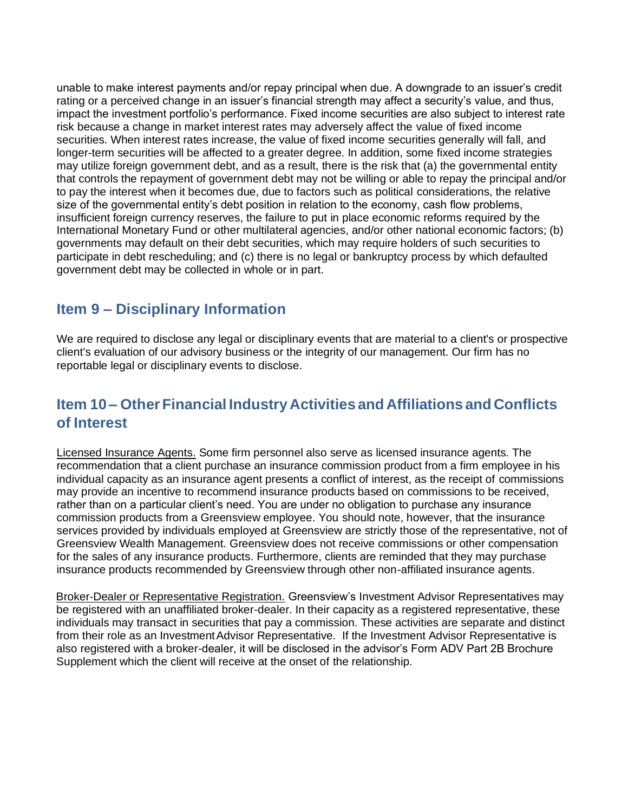unable to make interest payments and/or repay principal when due. A downgrade to an issuer's credit rating or a perceived change in an issuer's financial strength may affect a security's value, and thus, impact the investment portfolio's performance. Fixed income securities are also subject to interest rate risk because a change in market interest rates may adversely affect the value of fixed income securities. When interest rates increase, the value of fixed income securities generally will fall, and longer-term securities will be affected to a greater degree. In addition, some fixed income strategies may utilize foreign government debt, and as a result, there is the risk that (a) the governmental entity that controls the repayment of government debt may not be willing or able to repay the principal and/or to pay the interest when it becomes due, due to factors such as political considerations, the relative size of the governmental entity's debt position in relation to the economy, cash flow problems, insufficient foreign currency reserves, the failure to put in place economic reforms required by the International Monetary Fund or other multilateral agencies, and/or other national economic factors; (b) governments may default on their debt securities, which may require holders of such securities to participate in debt rescheduling; and (c) there is no legal or bankruptcy process by which defaulted government debt may be collected in whole or in part.

# <span id="page-11-0"></span>**Item 9 – Disciplinary Information**

We are required to disclose any legal or disciplinary events that are material to a client's or prospective client's evaluation of our advisory business or the integrity of our management. Our firm has no reportable legal or disciplinary events to disclose.

# <span id="page-11-1"></span>**Item 10 – OtherFinancial Industry Activities and Affiliations and Conflicts of Interest**

Licensed Insurance Agents. Some firm personnel also serve as licensed insurance agents. The recommendation that a client purchase an insurance commission product from a firm employee in his individual capacity as an insurance agent presents a conflict of interest, as the receipt of commissions may provide an incentive to recommend insurance products based on commissions to be received, rather than on a particular client's need. You are under no obligation to purchase any insurance commission products from a Greensview employee. You should note, however, that the insurance services provided by individuals employed at Greensview are strictly those of the representative, not of Greensview Wealth Management. Greensview does not receive commissions or other compensation for the sales of any insurance products. Furthermore, clients are reminded that they may purchase insurance products recommended by Greensview through other non-affiliated insurance agents.

Broker-Dealer or Representative Registration. Greensview's Investment Advisor Representatives may be registered with an unaffiliated broker-dealer. In their capacity as a registered representative, these individuals may transact in securities that pay a commission. These activities are separate and distinct from their role as an Investment Advisor Representative. If the Investment Advisor Representative is also registered with a broker-dealer, it will be disclosed in the advisor's Form ADV Part 2B Brochure Supplement which the client will receive at the onset of the relationship.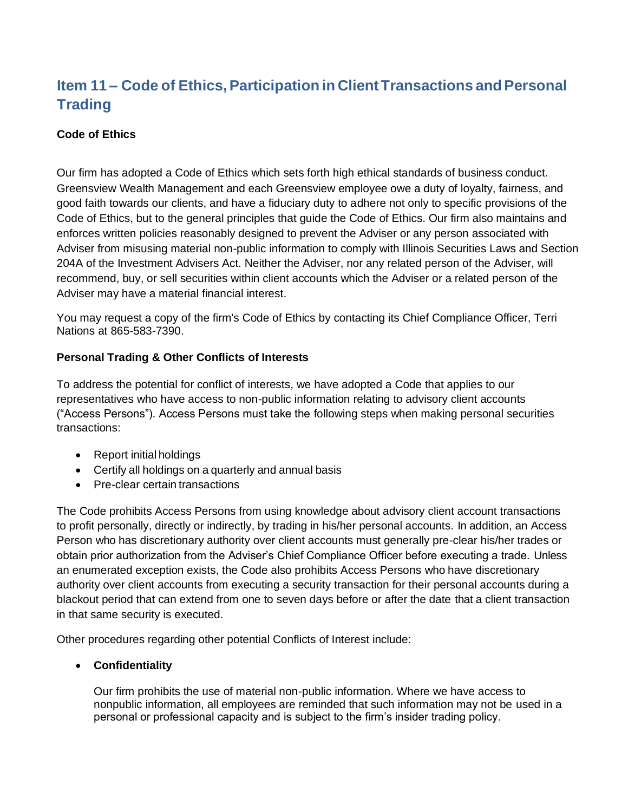# <span id="page-12-0"></span>**Item 11 – Code of Ethics, Participation in Client Transactions and Personal Trading**

### **Code of Ethics**

Our firm has adopted a Code of Ethics which sets forth high ethical standards of business conduct. Greensview Wealth Management and each Greensview employee owe a duty of loyalty, fairness, and good faith towards our clients, and have a fiduciary duty to adhere not only to specific provisions of the Code of Ethics, but to the general principles that guide the Code of Ethics. Our firm also maintains and enforces written policies reasonably designed to prevent the Adviser or any person associated with Adviser from misusing material non-public information to comply with Illinois Securities Laws and Section 204A of the Investment Advisers Act. Neither the Adviser, nor any related person of the Adviser, will recommend, buy, or sell securities within client accounts which the Adviser or a related person of the Adviser may have a material financial interest.

You may request a copy of the firm's Code of Ethics by contacting its Chief Compliance Officer, Terri Nations at 865-583-7390.

### **Personal Trading & Other Conflicts of Interests**

To address the potential for conflict of interests, we have adopted a Code that applies to our representatives who have access to non-public information relating to advisory client accounts ("Access Persons"). Access Persons must take the following steps when making personal securities transactions:

- Report initial holdings
- Certify all holdings on a quarterly and annual basis
- Pre-clear certain transactions

The Code prohibits Access Persons from using knowledge about advisory client account transactions to profit personally, directly or indirectly, by trading in his/her personal accounts. In addition, an Access Person who has discretionary authority over client accounts must generally pre-clear his/her trades or obtain prior authorization from the Adviser's Chief Compliance Officer before executing a trade. Unless an enumerated exception exists, the Code also prohibits Access Persons who have discretionary authority over client accounts from executing a security transaction for their personal accounts during a blackout period that can extend from one to seven days before or after the date that a client transaction in that same security is executed.

Other procedures regarding other potential Conflicts of Interest include:

### • **Confidentiality**

Our firm prohibits the use of material non-public information. Where we have access to nonpublic information, all employees are reminded that such information may not be used in a personal or professional capacity and is subject to the firm's insider trading policy.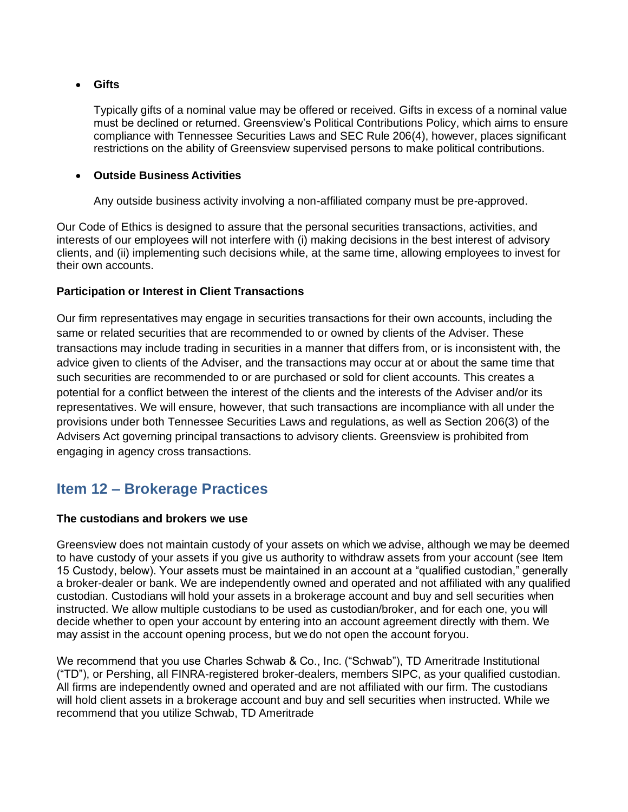### • **Gifts**

Typically gifts of a nominal value may be offered or received. Gifts in excess of a nominal value must be declined or returned. Greensview's Political Contributions Policy, which aims to ensure compliance with Tennessee Securities Laws and SEC Rule 206(4), however, places significant restrictions on the ability of Greensview supervised persons to make political contributions.

### • **Outside Business Activities**

Any outside business activity involving a non-affiliated company must be pre-approved.

Our Code of Ethics is designed to assure that the personal securities transactions, activities, and interests of our employees will not interfere with (i) making decisions in the best interest of advisory clients, and (ii) implementing such decisions while, at the same time, allowing employees to invest for their own accounts.

### **Participation or Interest in Client Transactions**

Our firm representatives may engage in securities transactions for their own accounts, including the same or related securities that are recommended to or owned by clients of the Adviser. These transactions may include trading in securities in a manner that differs from, or is inconsistent with, the advice given to clients of the Adviser, and the transactions may occur at or about the same time that such securities are recommended to or are purchased or sold for client accounts. This creates a potential for a conflict between the interest of the clients and the interests of the Adviser and/or its representatives. We will ensure, however, that such transactions are incompliance with all under the provisions under both Tennessee Securities Laws and regulations, as well as Section 206(3) of the Advisers Act governing principal transactions to advisory clients. Greensview is prohibited from engaging in agency cross transactions.

### <span id="page-13-0"></span>**Item 12 – Brokerage Practices**

### **The custodians and brokers we use**

Greensview does not maintain custody of your assets on which we advise, although we may be deemed to have custody of your assets if you give us authority to withdraw assets from your account (see Item 15 Custody, below). Your assets must be maintained in an account at a "qualified custodian," generally a broker-dealer or bank. We are independently owned and operated and not affiliated with any qualified custodian. Custodians will hold your assets in a brokerage account and buy and sell securities when instructed. We allow multiple custodians to be used as custodian/broker, and for each one, you will decide whether to open your account by entering into an account agreement directly with them. We may assist in the account opening process, but we do not open the account foryou.

We recommend that you use Charles Schwab & Co., Inc. ("Schwab"), TD Ameritrade Institutional ("TD"), or Pershing, all FINRA-registered broker-dealers, members SIPC, as your qualified custodian. All firms are independently owned and operated and are not affiliated with our firm. The custodians will hold client assets in a brokerage account and buy and sell securities when instructed. While we recommend that you utilize Schwab, TD Ameritrade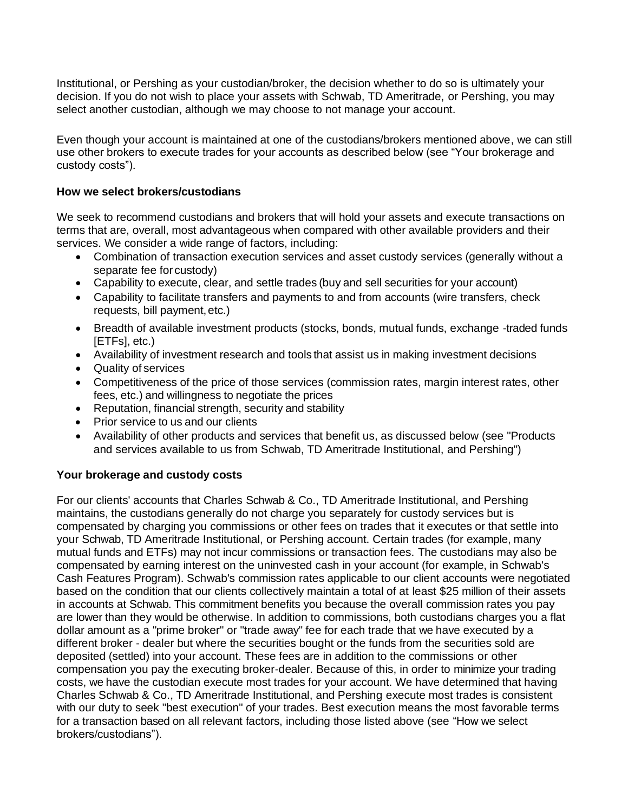Institutional, or Pershing as your custodian/broker, the decision whether to do so is ultimately your decision. If you do not wish to place your assets with Schwab, TD Ameritrade, or Pershing, you may select another custodian, although we may choose to not manage your account.

Even though your account is maintained at one of the custodians/brokers mentioned above, we can still use other brokers to execute trades for your accounts as described below (see "Your brokerage and custody costs").

#### **How we select brokers/custodians**

We seek to recommend custodians and brokers that will hold your assets and execute transactions on terms that are, overall, most advantageous when compared with other available providers and their services. We consider a wide range of factors, including:

- Combination of transaction execution services and asset custody services (generally without a separate fee for custody)
- Capability to execute, clear, and settle trades (buy and sell securities for your account)
- Capability to facilitate transfers and payments to and from accounts (wire transfers, check requests, bill payment, etc.)
- Breadth of available investment products (stocks, bonds, mutual funds, exchange -traded funds [ETFs], etc.)
- Availability of investment research and tools that assist us in making investment decisions
- Quality of services
- Competitiveness of the price of those services (commission rates, margin interest rates, other fees, etc.) and willingness to negotiate the prices
- Reputation, financial strength, security and stability
- Prior service to us and our clients
- Availability of other products and services that benefit us, as discussed below (see "Products and services available to us from Schwab, TD Ameritrade Institutional, and Pershing")

### **Your brokerage and custody costs**

For our clients' accounts that Charles Schwab & Co., TD Ameritrade Institutional, and Pershing maintains, the custodians generally do not charge you separately for custody services but is compensated by charging you commissions or other fees on trades that it executes or that settle into your Schwab, TD Ameritrade Institutional, or Pershing account. Certain trades (for example, many mutual funds and ETFs) may not incur commissions or transaction fees. The custodians may also be compensated by earning interest on the uninvested cash in your account (for example, in Schwab's Cash Features Program). Schwab's commission rates applicable to our client accounts were negotiated based on the condition that our clients collectively maintain a total of at least \$25 million of their assets in accounts at Schwab. This commitment benefits you because the overall commission rates you pay are lower than they would be otherwise. In addition to commissions, both custodians charges you a flat dollar amount as a "prime broker" or "trade away" fee for each trade that we have executed by a different broker - dealer but where the securities bought or the funds from the securities sold are deposited (settled) into your account. These fees are in addition to the commissions or other compensation you pay the executing broker-dealer. Because of this, in order to minimize your trading costs, we have the custodian execute most trades for your account. We have determined that having Charles Schwab & Co., TD Ameritrade Institutional, and Pershing execute most trades is consistent with our duty to seek "best execution" of your trades. Best execution means the most favorable terms for a transaction based on all relevant factors, including those listed above (see "How we select brokers/custodians").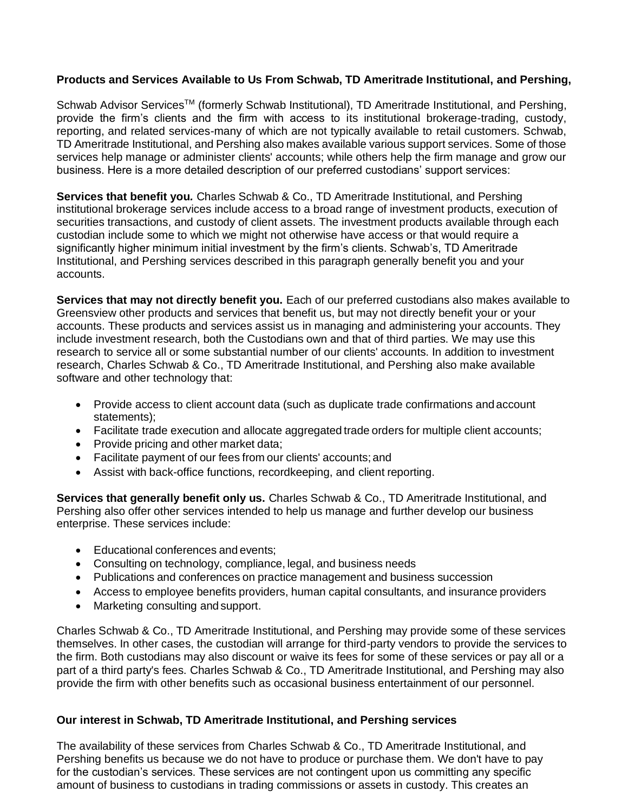### **Products and Services Available to Us From Schwab, TD Ameritrade Institutional, and Pershing,**

Schwab Advisor Services<sup>™</sup> (formerly Schwab Institutional), TD Ameritrade Institutional, and Pershing, provide the firm's clients and the firm with access to its institutional brokerage-trading, custody, reporting, and related services-many of which are not typically available to retail customers. Schwab, TD Ameritrade Institutional, and Pershing also makes available various support services. Some of those services help manage or administer clients' accounts; while others help the firm manage and grow our business. Here is a more detailed description of our preferred custodians' support services:

**Services that benefit you***.* Charles Schwab & Co., TD Ameritrade Institutional, and Pershing institutional brokerage services include access to a broad range of investment products, execution of securities transactions, and custody of client assets. The investment products available through each custodian include some to which we might not otherwise have access or that would require a significantly higher minimum initial investment by the firm's clients. Schwab's, TD Ameritrade Institutional, and Pershing services described in this paragraph generally benefit you and your accounts.

**Services that may not directly benefit you.** Each of our preferred custodians also makes available to Greensview other products and services that benefit us, but may not directly benefit your or your accounts. These products and services assist us in managing and administering your accounts. They include investment research, both the Custodians own and that of third parties. We may use this research to service all or some substantial number of our clients' accounts. In addition to investment research, Charles Schwab & Co., TD Ameritrade Institutional, and Pershing also make available software and other technology that:

- Provide access to client account data (such as duplicate trade confirmations and account statements);
- Facilitate trade execution and allocate aggregated trade orders for multiple client accounts;
- Provide pricing and other market data;
- Facilitate payment of our fees from our clients' accounts; and
- Assist with back-office functions, recordkeeping, and client reporting.

**Services that generally benefit only us.** Charles Schwab & Co., TD Ameritrade Institutional, and Pershing also offer other services intended to help us manage and further develop our business enterprise. These services include:

- Educational conferences and events;
- Consulting on technology, compliance, legal, and business needs
- Publications and conferences on practice management and business succession
- Access to employee benefits providers, human capital consultants, and insurance providers
- Marketing consulting and support.

Charles Schwab & Co., TD Ameritrade Institutional, and Pershing may provide some of these services themselves. In other cases, the custodian will arrange for third-party vendors to provide the services to the firm. Both custodians may also discount or waive its fees for some of these services or pay all or a part of a third party's fees. Charles Schwab & Co., TD Ameritrade Institutional, and Pershing may also provide the firm with other benefits such as occasional business entertainment of our personnel.

### **Our interest in Schwab, TD Ameritrade Institutional, and Pershing services**

The availability of these services from Charles Schwab & Co., TD Ameritrade Institutional, and Pershing benefits us because we do not have to produce or purchase them. We don't have to pay for the custodian's services. These services are not contingent upon us committing any specific amount of business to custodians in trading commissions or assets in custody. This creates an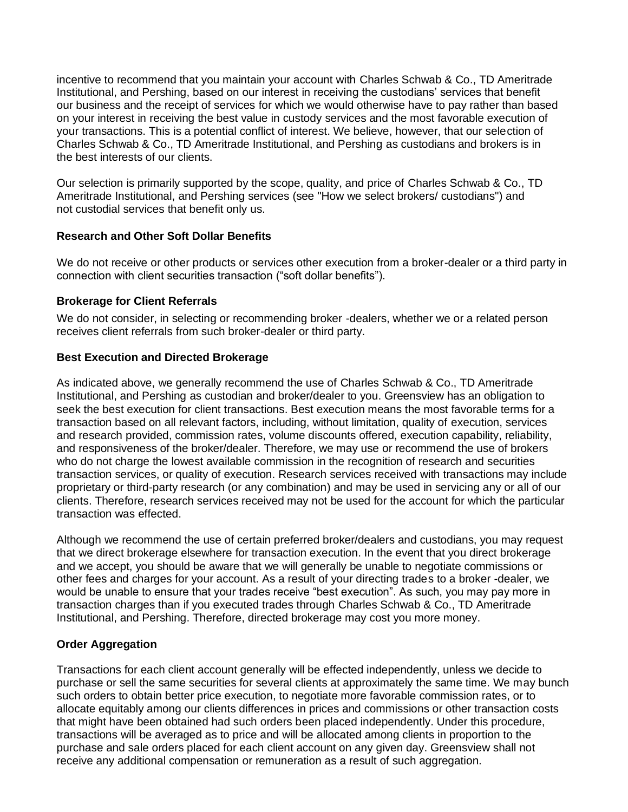<span id="page-16-0"></span>incentive to recommend that you maintain your account with Charles Schwab & Co., TD Ameritrade Institutional, and Pershing, based on our interest in receiving the custodians' services that benefit our business and the receipt of services for which we would otherwise have to pay rather than based on your interest in receiving the best value in custody services and the most favorable execution of your transactions. This is a potential conflict of interest. We believe, however, that our selection of Charles Schwab & Co., TD Ameritrade Institutional, and Pershing as custodians and brokers is in the best interests of our clients.

Our selection is primarily supported by the scope, quality, and price of Charles Schwab & Co., TD Ameritrade Institutional, and Pershing services (see "How we select brokers/ custodians") and not custodial services that benefit only us.

### **Research and Other Soft Dollar Benefits**

We do not receive or other products or services other execution from a broker-dealer or a third party in connection with client securities transaction ("soft dollar benefits").

### **Brokerage for Client Referrals**

We do not consider, in selecting or recommending broker -dealers, whether we or a related person receives client referrals from such broker-dealer or third party.

### **Best Execution and Directed Brokerage**

As indicated above, we generally recommend the use of Charles Schwab & Co., TD Ameritrade Institutional, and Pershing as custodian and broker/dealer to you. Greensview has an obligation to seek the best execution for client transactions. Best execution means the most favorable terms for a transaction based on all relevant factors, including, without limitation, quality of execution, services and research provided, commission rates, volume discounts offered, execution capability, reliability, and responsiveness of the broker/dealer. Therefore, we may use or recommend the use of brokers who do not charge the lowest available commission in the recognition of research and securities transaction services, or quality of execution. Research services received with transactions may include proprietary or third-party research (or any combination) and may be used in servicing any or all of our clients. Therefore, research services received may not be used for the account for which the particular transaction was effected.

Although we recommend the use of certain preferred broker/dealers and custodians, you may request that we direct brokerage elsewhere for transaction execution. In the event that you direct brokerage and we accept, you should be aware that we will generally be unable to negotiate commissions or other fees and charges for your account. As a result of your directing trades to a broker -dealer, we would be unable to ensure that your trades receive "best execution". As such, you may pay more in transaction charges than if you executed trades through Charles Schwab & Co., TD Ameritrade Institutional, and Pershing. Therefore, directed brokerage may cost you more money.

### **Order Aggregation**

Transactions for each client account generally will be effected independently, unless we decide to purchase or sell the same securities for several clients at approximately the same time. We may bunch such orders to obtain better price execution, to negotiate more favorable commission rates, or to allocate equitably among our clients differences in prices and commissions or other transaction costs that might have been obtained had such orders been placed independently. Under this procedure, transactions will be averaged as to price and will be allocated among clients in proportion to the purchase and sale orders placed for each client account on any given day. Greensview shall not receive any additional compensation or remuneration as a result of such aggregation.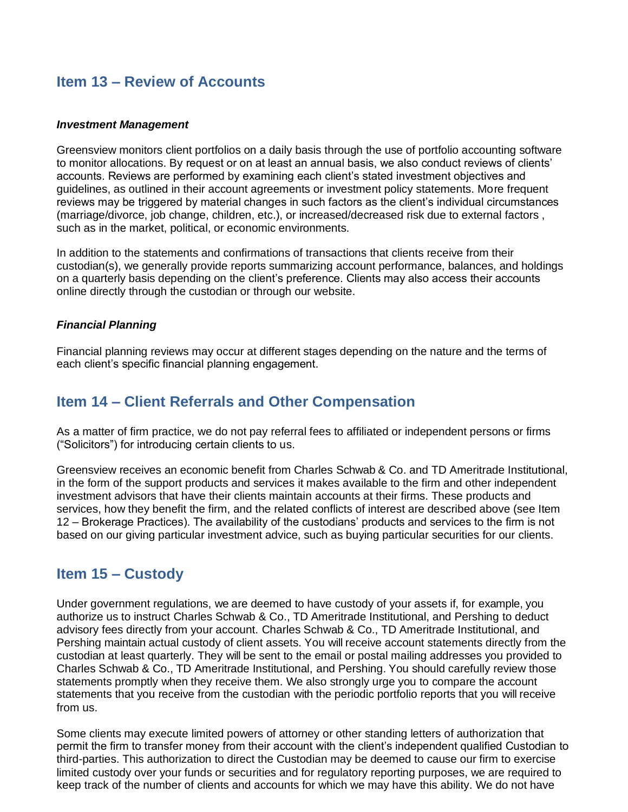### <span id="page-17-2"></span>**Item 13 – Review of Accounts**

### *Investment Management*

Greensview monitors client portfolios on a daily basis through the use of portfolio accounting software to monitor allocations. By request or on at least an annual basis, we also conduct reviews of clients' accounts. Reviews are performed by examining each client's stated investment objectives and guidelines, as outlined in their account agreements or investment policy statements. More frequent reviews may be triggered by material changes in such factors as the client's individual circumstances (marriage/divorce, job change, children, etc.), or increased/decreased risk due to external factors , such as in the market, political, or economic environments.

In addition to the statements and confirmations of transactions that clients receive from their custodian(s), we generally provide reports summarizing account performance, balances, and holdings on a quarterly basis depending on the client's preference. Clients may also access their accounts online directly through the custodian or through our website.

#### *Financial Planning*

Financial planning reviews may occur at different stages depending on the nature and the terms of each client's specific financial planning engagement.

### <span id="page-17-0"></span>**Item 14 – Client Referrals and Other Compensation**

As a matter of firm practice, we do not pay referral fees to affiliated or independent persons or firms ("Solicitors") for introducing certain clients to us.

Greensview receives an economic benefit from Charles Schwab & Co. and TD Ameritrade Institutional, in the form of the support products and services it makes available to the firm and other independent investment advisors that have their clients maintain accounts at their firms. These products and services, how they benefit the firm, and the related conflicts of interest are described above (see Item 12 – Brokerage Practices). The availability of the custodians' products and services to the firm is not based on our giving particular investment advice, such as buying particular securities for our clients.

### <span id="page-17-1"></span>**Item 15 – Custody**

Under government regulations, we are deemed to have custody of your assets if, for example, you authorize us to instruct Charles Schwab & Co., TD Ameritrade Institutional, and Pershing to deduct advisory fees directly from your account. Charles Schwab & Co., TD Ameritrade Institutional, and Pershing maintain actual custody of client assets. You will receive account statements directly from the custodian at least quarterly. They will be sent to the email or postal mailing addresses you provided to Charles Schwab & Co., TD Ameritrade Institutional, and Pershing. You should carefully review those statements promptly when they receive them. We also strongly urge you to compare the account statements that you receive from the custodian with the periodic portfolio reports that you will receive from us.

Some clients may execute limited powers of attorney or other standing letters of authorization that permit the firm to transfer money from their account with the client's independent qualified Custodian to third-parties. This authorization to direct the Custodian may be deemed to cause our firm to exercise limited custody over your funds or securities and for regulatory reporting purposes, we are required to keep track of the number of clients and accounts for which we may have this ability. We do not have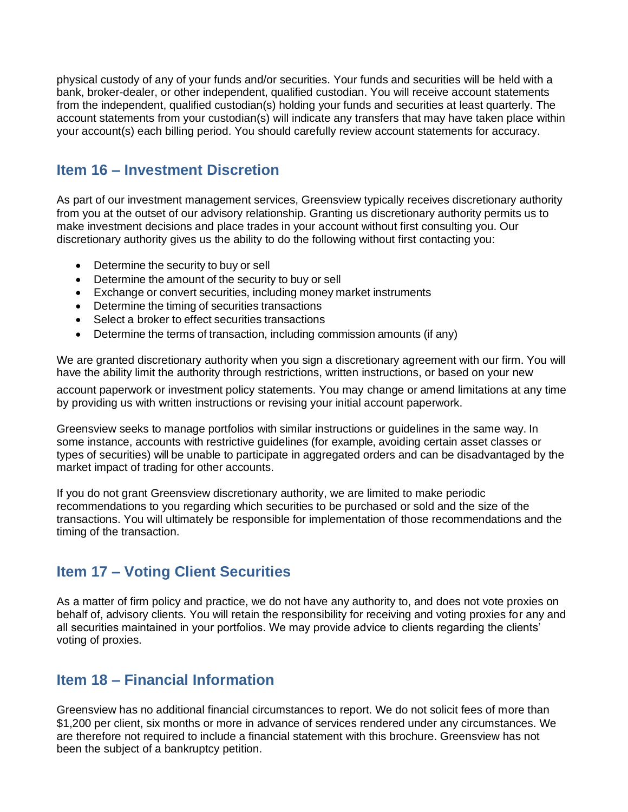physical custody of any of your funds and/or securities. Your funds and securities will be held with a bank, broker-dealer, or other independent, qualified custodian. You will receive account statements from the independent, qualified custodian(s) holding your funds and securities at least quarterly. The account statements from your custodian(s) will indicate any transfers that may have taken place within your account(s) each billing period. You should carefully review account statements for accuracy.

# **Item 16 – Investment Discretion**

As part of our investment management services, Greensview typically receives discretionary authority from you at the outset of our advisory relationship. Granting us discretionary authority permits us to make investment decisions and place trades in your account without first consulting you. Our discretionary authority gives us the ability to do the following without first contacting you:

- Determine the security to buy or sell
- Determine the amount of the security to buy or sell
- Exchange or convert securities, including money market instruments
- Determine the timing of securities transactions
- Select a broker to effect securities transactions
- Determine the terms of transaction, including commission amounts (if any)

We are granted discretionary authority when you sign a discretionary agreement with our firm. You will have the ability limit the authority through restrictions, written instructions, or based on your new

account paperwork or investment policy statements. You may change or amend limitations at any time by providing us with written instructions or revising your initial account paperwork.

Greensview seeks to manage portfolios with similar instructions or guidelines in the same way. In some instance, accounts with restrictive guidelines (for example, avoiding certain asset classes or types of securities) will be unable to participate in aggregated orders and can be disadvantaged by the market impact of trading for other accounts.

If you do not grant Greensview discretionary authority, we are limited to make periodic recommendations to you regarding which securities to be purchased or sold and the size of the transactions. You will ultimately be responsible for implementation of those recommendations and the timing of the transaction.

# <span id="page-18-0"></span>**Item 17 – Voting Client Securities**

As a matter of firm policy and practice, we do not have any authority to, and does not vote proxies on behalf of, advisory clients. You will retain the responsibility for receiving and voting proxies for any and all securities maintained in your portfolios. We may provide advice to clients regarding the clients' voting of proxies.

### <span id="page-18-1"></span>**Item 18 – Financial Information**

Greensview has no additional financial circumstances to report. We do not solicit fees of more than \$1,200 per client, six months or more in advance of services rendered under any circumstances. We are therefore not required to include a financial statement with this brochure. Greensview has not been the subject of a bankruptcy petition.